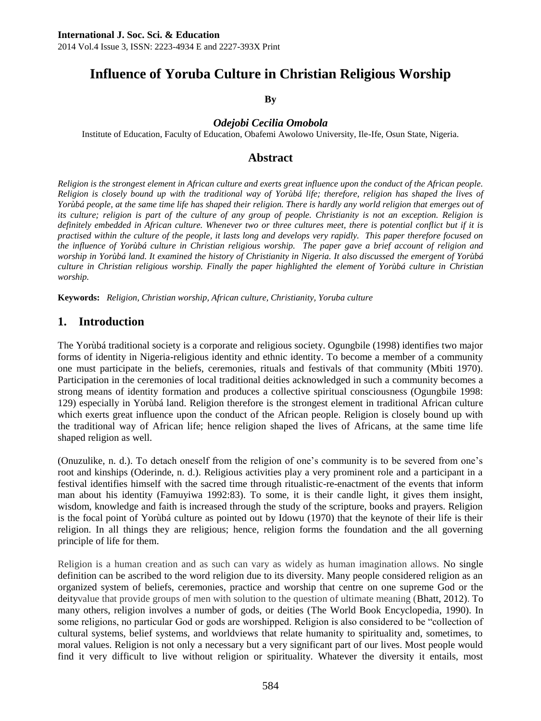# **Influence of Yoruba Culture in Christian Religious Worship**

#### **By**

#### *Odejobi Cecilia Omobola*

Institute of Education, Faculty of Education, Obafemi Awolowo University, Ile-Ife, Osun State, Nigeria.

# **Abstract**

*Religion is the strongest element in African culture and exerts great influence upon the conduct of the African people. Religion is closely bound up with the traditional way of Yorùbá life; therefore, religion has shaped the lives of Yorùbá people, at the same time life has shaped their religion. There is hardly any world religion that emerges out of its culture; religion is part of the culture of any group of people. Christianity is not an exception. Religion is definitely embedded in African culture. Whenever two or three cultures meet, there is potential conflict but if it is practised within the culture of the people, it lasts long and develops very rapidly. This paper therefore focused on the influence of Yorùbá culture in Christian religious worship. The paper gave a brief account of religion and worship in Yorùbá land. It examined the history of Christianity in Nigeria. It also discussed the emergent of Yorùbá culture in Christian religious worship. Finally the paper highlighted the element of Yorùbá culture in Christian worship.* 

**Keywords:** *Religion, Christian worship, African culture, Christianity, Yoruba culture*

# **1. Introduction**

The Yorùbá traditional society is a corporate and religious society. Ogungbile (1998) identifies two major forms of identity in Nigeria-religious identity and ethnic identity. To become a member of a community one must participate in the beliefs, ceremonies, rituals and festivals of that community (Mbiti 1970). Participation in the ceremonies of local traditional deities acknowledged in such a community becomes a strong means of identity formation and produces a collective spiritual consciousness (Ogungbile 1998: 129) especially in Yorùbá land. Religion therefore is the strongest element in traditional African culture which exerts great influence upon the conduct of the African people. Religion is closely bound up with the traditional way of African life; hence religion shaped the lives of Africans, at the same time life shaped religion as well.

(Onuzulike, n. d.). To detach oneself from the religion of one's community is to be severed from one's root and kinships (Oderinde, n. d.). Religious activities play a very prominent role and a participant in a festival identifies himself with the sacred time through ritualistic-re-enactment of the events that inform man about his identity (Famuyiwa 1992:83). To some, it is their candle light, it gives them insight, wisdom, knowledge and faith is increased through the study of the scripture, books and prayers. Religion is the focal point of Yorùbá culture as pointed out by Idowu (1970) that the keynote of their life is their religion. In all things they are religious; hence, religion forms the foundation and the all governing principle of life for them.

Religion is a human creation and as such can vary as widely as human imagination allows. No single definition can be ascribed to the word religion due to its diversity. Many people considered religion as an organized system of beliefs, ceremonies, practice and worship that centre on one supreme God or the deityvalue that provide groups of men with solution to the question of ultimate meaning (Bhatt, 2012). To many others, religion involves a number of gods, or deities (The World Book Encyclopedia, 1990). In some religions, no particular God or gods are worshipped. Religion is also considered to be "collection of cultural systems, belief systems, and worldviews that relate humanity to spirituality and, sometimes, to moral values. Religion is not only a necessary but a very significant part of our lives. Most people would find it very difficult to live without religion or spirituality. Whatever the diversity it entails, most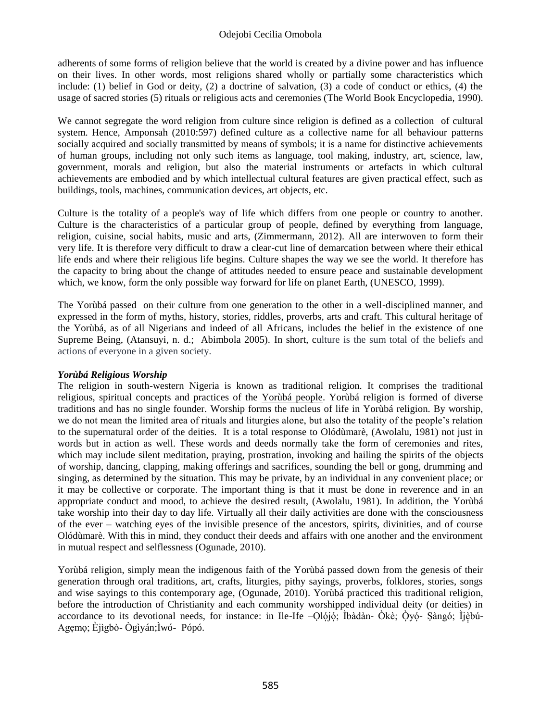adherents of some forms of religion believe that the world is created by a divine power and has influence on their lives. In other words, most religions shared wholly or partially some characteristics which include: (1) belief in God or deity, (2) a doctrine of salvation, (3) a code of conduct or ethics, (4) the usage of sacred stories (5) rituals or religious acts and ceremonies (The World Book Encyclopedia, 1990).

We cannot segregate the word religion from culture since religion is defined as a collection of cultural system. Hence, Amponsah (2010:597) defined culture as a collective name for all behaviour patterns socially acquired and socially transmitted by means of symbols; it is a name for distinctive achievements of human groups, including not only such items as language, tool making, industry, art, science, law, government, morals and religion, but also the material instruments or artefacts in which cultural achievements are embodied and by which intellectual cultural features are given practical effect, such as buildings, tools, machines, communication devices, art objects, etc.

Culture is the totality of a people's way of life which differs from one people or country to another. Culture is the characteristics of a particular group of people, defined by everything from language, religion, cuisine, social habits, music and arts, (Zimmermann, 2012). All are interwoven to form their very life. It is therefore very difficult to draw a clear-cut line of demarcation between where their ethical life ends and where their religious life begins. Culture shapes the way we see the world. It therefore has the capacity to bring about the change of attitudes needed to ensure peace and sustainable development which, we know, form the only possible way forward for life on planet Earth, (UNESCO, 1999).

The Yorùbá passed on their culture from one generation to the other in a well-disciplined manner, and expressed in the form of myths, history, stories, riddles, proverbs, arts and craft. This cultural heritage of the Yorùbá, as of all Nigerians and indeed of all Africans, includes the belief in the existence of one Supreme Being, (Atansuyi, n. d.; Abimbola 2005). In short, culture is the sum total of the beliefs and actions of everyone in a given society.

# *Yorùbá Religious Worship*

The religion in south-western Nigeria is known as traditional religion. It comprises the traditional religious, spiritual concepts and practices of the [Yorùbá people.](http://en.wikipedia.org/wiki/Yoruba_people) Yorùbá religion is formed of diverse traditions and has no single founder. Worship forms the nucleus of life in Yorùbá religion. By worship, we do not mean the limited area of rituals and liturgies alone, but also the totality of the people's relation to the supernatural order of the deities. It is a total response to Olódùmarè, (Awolalu, 1981) not just in words but in action as well. These words and deeds normally take the form of ceremonies and rites, which may include silent meditation, praying, prostration, invoking and hailing the spirits of the objects of worship, dancing, clapping, making offerings and sacrifices, sounding the bell or gong, drumming and singing, as determined by the situation. This may be private, by an individual in any convenient place; or it may be collective or corporate. The important thing is that it must be done in reverence and in an appropriate conduct and mood, to achieve the desired result, (Awolalu, 1981). In addition, the Yorùbá take worship into their day to day life. Virtually all their daily activities are done with the consciousness of the ever – watching eyes of the invisible presence of the ancestors, spirits, divinities, and of course Olódùmarè. With this in mind, they conduct their deeds and affairs with one another and the environment in mutual respect and selflessness (Ogunade, 2010).

Yorùbá religion, simply mean the indigenous faith of the Yorùbá passed down from the genesis of their generation through oral traditions, art, crafts, liturgies, pithy sayings, proverbs, folklores, stories, songs and wise sayings to this contemporary age, (Ogunade, 2010). Yorùbá practiced this traditional religion, before the introduction of Christianity and each community worshipped individual deity (or deities) in accordance to its devotional needs, for instance: in Ile-Ife –Qlójó; Ìbàdàn- Òkè; Ọ̀yọ́- Ṣàngó; Ìjèbú-Agẹmọ; Èjìgbò- Ògìyán;Ìwó- Pópó.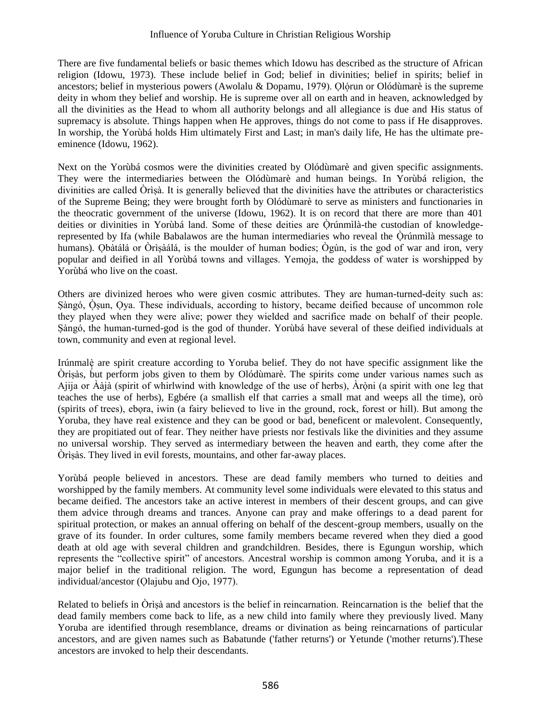There are five fundamental beliefs or basic themes which Idowu has described as the structure of African religion (Idowu, 1973). These include belief in God; belief in divinities; belief in spirits; belief in ancestors; belief in mysterious powers (Awolalu & Dopamu, 1979). Ọlợrun or Olódùmarè is the supreme deity in whom they belief and worship. He is supreme over all on earth and in heaven, acknowledged by all the divinities as the Head to whom all authority belongs and all allegiance is due and His status of supremacy is absolute. Things happen when He approves, things do not come to pass if He disapproves. In worship, the Yorùbá holds Him ultimately First and Last; in man's daily life, He has the ultimate preeminence (Idowu, 1962).

Next on the Yorùbá cosmos were the divinities created by Olódùmarè and given specific assignments. They were the intermediaries between the Olódùmarè and human beings. In Yorùbá religion, the divinities are called Òrìṣà. It is generally believed that the divinities have the attributes or characteristics of the Supreme Being; they were brought forth by Olódùmarè to serve as ministers and functionaries in the theocratic government of the universe (Idowu, 1962). It is on record that there are more than 401 deities or divinities in Yorùbá land. Some of these deities are Òrúnmìlà-the custodian of knowledgerepresented by Ifa (while Babalawos are the human intermediaries who reveal the Òrúnmìlà message to ̣ humans). Ọbàtálá or Òrìṣàálá, is the moulder of human bodies; Ògún, is the god of war and iron, very popular and deified in all Yorùbá towns and villages. Yemọja, the goddess of water is worshipped by Yorùbá who live on the coast.

Others are divinized heroes who were given cosmic attributes. They are human-turned-deity such as: Sàngó, Òsun, Oya. These individuals, according to history, became deified because of uncommon role they played when they were alive; power they wielded and sacrifice made on behalf of their people. Ṣàngó, the human-turned-god is the god of thunder. Yorùbá have several of these deified individuals at town, community and even at regional level.

Irúnmalè are spirit creature according to Yoruba belief. They do not have specific assignment like the Òrìṣàs, but perform jobs given to them by Olódùmarè. The spirits come under various names such as Ajija or Ààjà (spirit of whirlwind with knowledge of the use of herbs), Àròṇ i (a spirit with one leg that teaches the use of herbs), Egbére (a smallish elf that carries a small mat and weeps all the time), orò (spirits of trees), ebọra, iwin (a fairy believed to live in the ground, rock, forest or hill). But among the Yoruba, they have real existence and they can be good or bad, beneficent or malevolent. Consequently, they are propitiated out of fear. They neither have priests nor festivals like the divinities and they assume no universal worship. They served as intermediary between the heaven and earth, they come after the Òrìṣàs. They lived in evil forests, mountains, and other far-away places.

Yorùbá people believed in ancestors. These are dead family members who turned to deities and worshipped by the family members. At community level some individuals were elevated to this status and became deified. The ancestors take an active interest in members of their descent groups, and can give them advice through dreams and trances. Anyone can pray and make offerings to a dead parent for spiritual protection, or makes an annual offering on behalf of the descent-group members, usually on the grave of its founder. In order cultures, some family members became revered when they died a good death at old age with several children and grandchildren. Besides, there is Egungun worship, which represents the "collective spirit" of ancestors. Ancestral worship is common among Yoruba, and it is a major belief in the traditional religion. The word, Egungun has become a representation of dead individual/ancestor (Ọlajubu and Ojo, 1977).

Related to beliefs in Òrìṣà and ancestors is the belief in reincarnation. Reincarnation is the belief that the dead family members come back to life, as a new child into family where they previously lived. Many Yoruba are identified through resemblance, dreams or divination as being reincarnations of particular ancestors, and are given names such as Babatunde ('father returns') or Yetunde ('mother returns').These ancestors are invoked to help their descendants.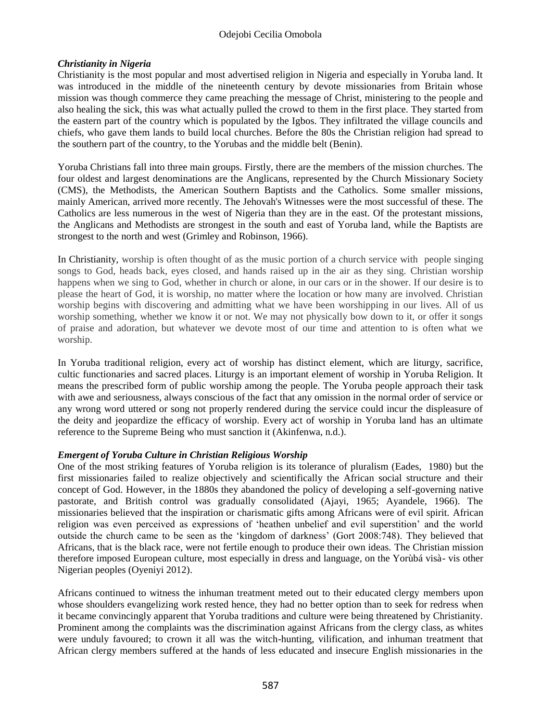#### Odejobi Cecilia Omobola

#### *Christianity in Nigeria*

Christianity is the most popular and most advertised religion in Nigeria and especially in Yoruba land. It was introduced in the middle of the nineteenth century by devote missionaries from Britain whose mission was though commerce they came preaching the message of Christ, ministering to the people and also healing the sick, this was what actually pulled the crowd to them in the first place. They started from the eastern part of the country which is populated by the Igbos. They infiltrated the village councils and chiefs, who gave them lands to build local churches. Before the 80s the Christian religion had spread to the southern part of the country, to the Yorubas and the middle belt (Benin).

Yoruba Christians fall into three main groups. Firstly, there are the members of the mission churches. The four oldest and largest denominations are the Anglicans, represented by the Church Missionary Society (CMS), the Methodists, the American Southern Baptists and the Catholics. Some smaller missions, mainly American, arrived more recently. The Jehovah's Witnesses were the most successful of these. The Catholics are less numerous in the west of Nigeria than they are in the east. Of the protestant missions, the Anglicans and Methodists are strongest in the south and east of Yoruba land, while the Baptists are strongest to the north and west (Grimley and Robinson, 1966).

In Christianity, worship is often thought of as the music portion of a church service with people singing songs to God, heads back, eyes closed, and hands raised up in the air as they sing. Christian worship happens when we sing to God, whether in church or alone, in our cars or in the shower. If our desire is to please the heart of God, it is worship, no matter where the location or how many are involved. Christian worship begins with discovering and admitting what we have been worshipping in our lives. All of us worship something, whether we know it or not. We may not physically bow down to it, or offer it songs of praise and adoration, but whatever we devote most of our time and attention to is often what we worship.

In Yoruba traditional religion, every act of worship has distinct element, which are liturgy, sacrifice, cultic functionaries and sacred places. Liturgy is an important element of worship in Yoruba Religion. It means the prescribed form of public worship among the people. The Yoruba people approach their task with awe and seriousness, always conscious of the fact that any omission in the normal order of service or any wrong word uttered or song not properly rendered during the service could incur the displeasure of the deity and jeopardize the efficacy of worship. Every act of worship in Yoruba land has an ultimate reference to the Supreme Being who must sanction it (Akinfenwa, n.d.).

#### *Emergent of Yoruba Culture in Christian Religious Worship*

One of the most striking features of Yoruba religion is its tolerance of pluralism (Eades, 1980) but the first missionaries failed to realize objectively and scientifically the African social structure and their concept of God. However, in the 1880s they abandoned the policy of developing a self-governing native pastorate, and British control was gradually consolidated (Ajayi, 1965; Ayandele, 1966). The missionaries believed that the inspiration or charismatic gifts among Africans were of evil spirit. African religion was even perceived as expressions of 'heathen unbelief and evil superstition' and the world outside the church came to be seen as the 'kingdom of darkness' (Gort 2008:748). They believed that Africans, that is the black race, were not fertile enough to produce their own ideas. The Christian mission therefore imposed European culture, most especially in dress and language, on the Yorùbá visà- vis other Nigerian peoples (Oyeniyi 2012).

Africans continued to witness the inhuman treatment meted out to their educated clergy members upon whose shoulders evangelizing work rested hence, they had no better option than to seek for redress when it became convincingly apparent that Yoruba traditions and culture were being threatened by Christianity. Prominent among the complaints was the discrimination against Africans from the clergy class, as whites were unduly favoured; to crown it all was the witch-hunting, vilification, and inhuman treatment that African clergy members suffered at the hands of less educated and insecure English missionaries in the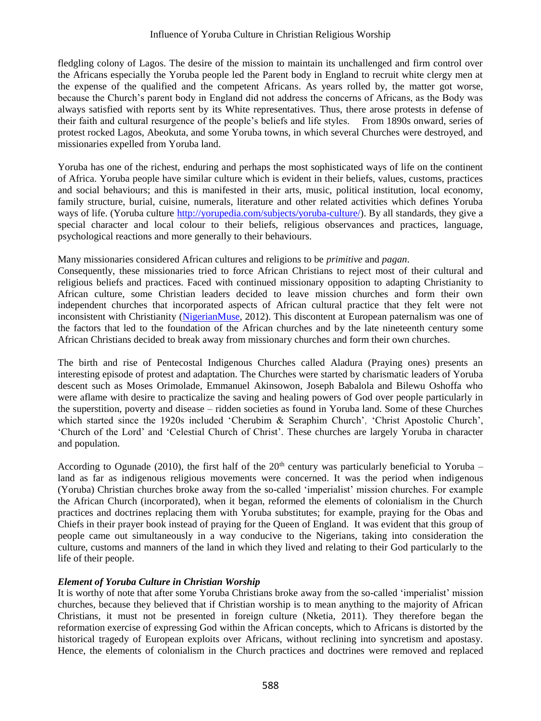fledgling colony of Lagos. The desire of the mission to maintain its unchallenged and firm control over the Africans especially the Yoruba people led the Parent body in England to recruit white clergy men at the expense of the qualified and the competent Africans. As years rolled by, the matter got worse, because the Church's parent body in England did not address the concerns of Africans, as the Body was always satisfied with reports sent by its White representatives. Thus, there arose protests in defense of their faith and cultural resurgence of the people's beliefs and life styles. From 1890s onward, series of protest rocked Lagos, Abeokuta, and some Yoruba towns, in which several Churches were destroyed, and missionaries expelled from Yoruba land.

Yoruba has one of the richest, enduring and perhaps the most sophisticated ways of life on the continent of Africa. Yoruba people have similar culture which is evident in their beliefs, values, customs, practices and social behaviours; and this is manifested in their arts, music, political institution, local economy, family structure, burial, cuisine, numerals, literature and other related activities which defines Yoruba ways of life. (Yoruba culture [http://yorupedia.com/subjects/yoruba-culture/\)](http://yorupedia.com/subjects/yoruba-culture/). By all standards, they give a special character and local colour to their beliefs, religious observances and practices, language, psychological reactions and more generally to their behaviours.

#### Many missionaries considered African cultures and religions to be *primitive* and *pagan*.

Consequently, these missionaries tried to force African Christians to reject most of their cultural and religious beliefs and practices. Faced with continued missionary opposition to adapting Christianity to African culture, some Christian leaders decided to leave mission churches and form their own independent churches that incorporated aspects of African cultural practice that they felt were not inconsistent with Christianity [\(NigerianMuse,](http://www.nigerianmuse.com/author/nigerianmuse/) 2012). This discontent at European paternalism was one of the factors that led to the foundation of the African churches and by the late nineteenth century some African Christians decided to break away from missionary churches and form their own churches.

The birth and rise of Pentecostal Indigenous Churches called Aladura (Praying ones) presents an interesting episode of protest and adaptation. The Churches were started by charismatic leaders of Yoruba descent such as Moses Orimolade, Emmanuel Akinsowon, Joseph Babalola and Bilewu Oshoffa who were aflame with desire to practicalize the saving and healing powers of God over people particularly in the superstition, poverty and disease – ridden societies as found in Yoruba land. Some of these Churches which started since the 1920s included 'Cherubim & Seraphim Church', 'Christ Apostolic Church', 'Church of the Lord' and 'Celestial Church of Christ'. These churches are largely Yoruba in character and population.

According to Ogunade (2010), the first half of the  $20<sup>th</sup>$  century was particularly beneficial to Yoruba – land as far as indigenous religious movements were concerned. It was the period when indigenous (Yoruba) Christian churches broke away from the so-called 'imperialist' mission churches. For example the African Church (incorporated), when it began, reformed the elements of colonialism in the Church practices and doctrines replacing them with Yoruba substitutes; for example, praying for the Obas and Chiefs in their prayer book instead of praying for the Queen of England. It was evident that this group of people came out simultaneously in a way conducive to the Nigerians, taking into consideration the culture, customs and manners of the land in which they lived and relating to their God particularly to the life of their people.

# *Element of Yoruba Culture in Christian Worship*

It is worthy of note that after some Yoruba Christians broke away from the so-called 'imperialist' mission churches, because they believed that if Christian worship is to mean anything to the majority of African Christians, it must not be presented in foreign culture (Nketia, 2011). They therefore began the reformation exercise of expressing God within the African concepts, which to Africans is distorted by the historical tragedy of European exploits over Africans, without reclining into syncretism and apostasy. Hence, the elements of colonialism in the Church practices and doctrines were removed and replaced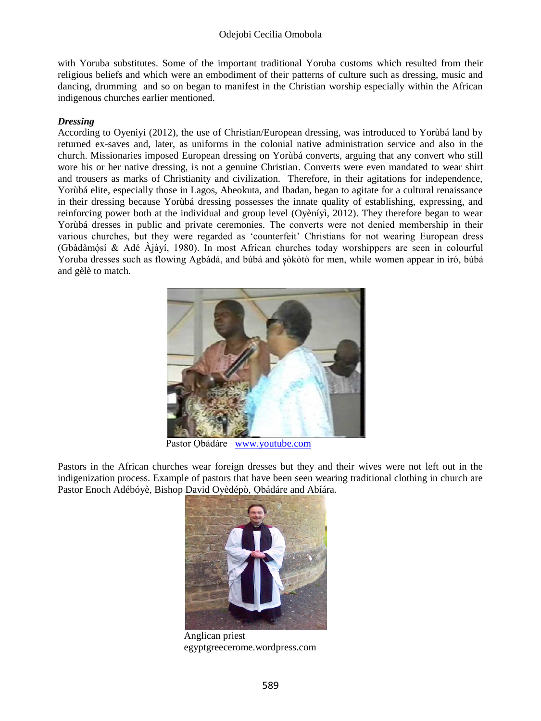with Yoruba substitutes. Some of the important traditional Yoruba customs which resulted from their religious beliefs and which were an embodiment of their patterns of culture such as dressing, music and dancing, drumming and so on began to manifest in the Christian worship especially within the African indigenous churches earlier mentioned.

#### *Dressing*

According to Oyeniyi (2012), the use of Christian/European dressing, was introduced to Yorùbá land by returned ex-saves and, later, as uniforms in the colonial native administration service and also in the church. Missionaries imposed European dressing on Yorùbá converts, arguing that any convert who still wore his or her native dressing, is not a genuine Christian. Converts were even mandated to wear shirt and trousers as marks of Christianity and civilization. Therefore, in their agitations for independence, Yorùbá elite, especially those in Lagos, Abeokuta, and Ibadan, began to agitate for a cultural renaissance in their dressing because Yorùbá dressing possesses the innate quality of establishing, expressing, and reinforcing power both at the individual and group level (Oyèníyì, 2012). They therefore began to wear Yorùbá dresses in public and private ceremonies. The converts were not denied membership in their various churches, but they were regarded as 'counterfeit' Christians for not wearing European dress (Gbàdàmóṣ í & Adé Àjàyí, 1980). In most African churches today worshippers are seen in colourful Yoruba dresses such as flowing Agbádá, and bùbá and sòkòtò for men, while women appear in ìró, bùbá and gèlè to match.



Pastor Qbádáre [www.youtube.com](http://www.youtube.com/)

Pastors in the African churches wear foreign dresses but they and their wives were not left out in the indigenization process. Example of pastors that have been seen wearing traditional clothing in church are Pastor Enoch Adébóyè, Bishop David Oyèdépò, Obádáre and Abíára.



Anglican priest [egyptgreecerome.wordpress.com](http://egyptgreecerome.wordpress.com/2010/04/)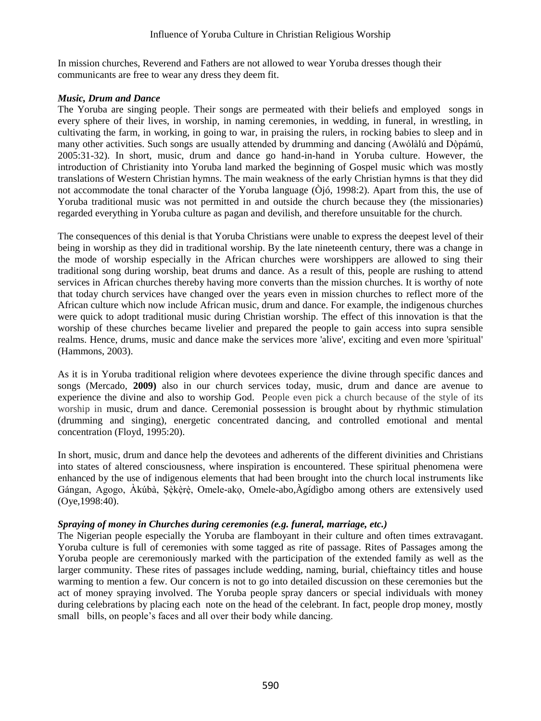In mission churches, Reverend and Fathers are not allowed to wear Yoruba dresses though their communicants are free to wear any dress they deem fit.

#### *Music, Drum and Dance*

The Yoruba are singing people. Their songs are permeated with their beliefs and employed songs in every sphere of their lives, in worship, in naming ceremonies, in wedding, in funeral, in wrestling, in cultivating the farm, in working, in going to war, in praising the rulers, in rocking babies to sleep and in many other activities. Such songs are usually attended by drumming and dancing (Awólàlú and Dòpámú, 2005:31-32). In short, music, drum and dance go hand-in-hand in Yoruba culture. However, the introduction of Christianity into Yoruba land marked the beginning of Gospel music which was mostly translations of Western Christian hymns. The main weakness of the early Christian hymns is that they did not accommodate the tonal character of the Yoruba language (Òjó, 1998:2). Apart from this, the use of Yoruba traditional music was not permitted in and outside the church because they (the missionaries) regarded everything in Yoruba culture as pagan and devilish, and therefore unsuitable for the church.

The consequences of this denial is that Yoruba Christians were unable to express the deepest level of their being in worship as they did in traditional worship. By the late nineteenth century, there was a change in the mode of worship especially in the African churches were worshippers are allowed to sing their traditional song during worship, beat drums and dance. As a result of this, people are rushing to attend services in African churches thereby having more converts than the mission churches. It is worthy of note that today church services have changed over the years even in mission churches to reflect more of the African culture which now include African music, drum and dance. For example, the indigenous churches were quick to adopt traditional music during Christian worship. The effect of this innovation is that the worship of these churches became livelier and prepared the people to gain access into supra sensible realms. Hence, drums, music and dance make the services more 'alive', exciting and even more 'spiritual' (Hammons, 2003).

As it is in Yoruba traditional religion where devotees experience the divine through specific dances and songs (Mercado, **2009)** also in our church services today, music, drum and dance are avenue to experience the divine and also to worship God. People even pick a church because of the style of its worship in music, drum and dance. Ceremonial possession is brought about by rhythmic stimulation (drumming and singing), energetic concentrated dancing, and controlled emotional and mental concentration (Floyd, 1995:20).

In short, music, drum and dance help the devotees and adherents of the different divinities and Christians into states of altered consciousness, where inspiration is encountered. These spiritual phenomena were enhanced by the use of indigenous elements that had been brought into the church local instruments like Gángan, Agogo, Àkúbà, Şèkèrè, Omele-ako, Omele-abo,Àgídìgbo among others are extensively used (Oye,1998:40).

# *Spraying of money in Churches during ceremonies (e.g. funeral, marriage, etc.)*

The Nigerian people especially the Yoruba are flamboyant in their culture and often times extravagant. Yoruba culture is full of ceremonies with some tagged as rite of passage. Rites of Passages among the Yoruba people are ceremoniously marked with the participation of the extended family as well as the larger community. These rites of passages include wedding, naming, burial, chieftaincy titles and house warming to mention a few. Our concern is not to go into detailed discussion on these ceremonies but the act of money spraying involved. The Yoruba people spray dancers or special individuals with money during celebrations by placing each note on the head of the celebrant. In fact, people drop money, mostly small bills, on people's faces and all over their body while dancing.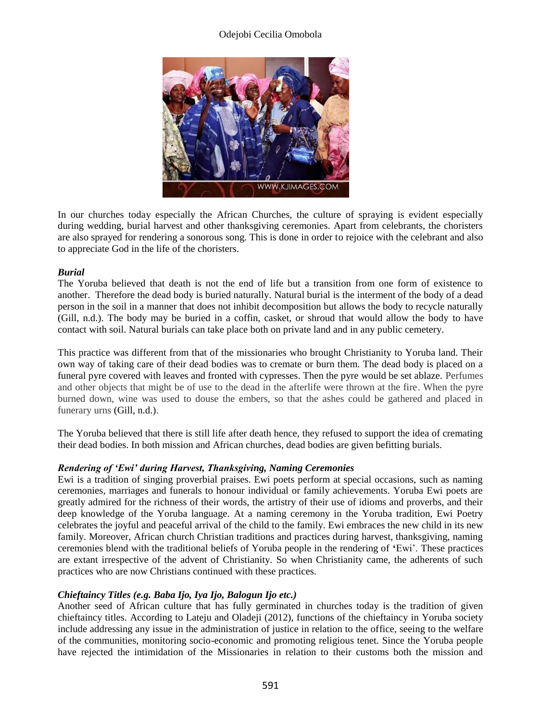#### Odejobi Cecilia Omobola



In our churches today especially the African Churches, the culture of spraying is evident especially during wedding, burial harvest and other thanksgiving ceremonies. Apart from celebrants, the choristers are also sprayed for rendering a sonorous song. This is done in order to rejoice with the celebrant and also to appreciate God in the life of the choristers.

#### *Burial*

The Yoruba believed that death is not the end of life but a transition from one form of existence to another. Therefore the dead body is buried naturally. Natural burial is the interment of the body of a dead person in the soil in a manner that does not inhibit decomposition but allows the body to recycle naturally (Gill, n.d.). The body may be buried in a coffin, casket, or shroud that would allow the body to have contact with soil. Natural burials can take place both on private land and in any public cemetery.

This practice was different from that of the missionaries who brought Christianity to Yoruba land. Their own way of taking care of their dead bodies was to cremate or burn them. The dead body is placed on a funeral pyre covered with leaves and fronted with cypresses. Then the pyre would be set ablaze. Perfumes and other objects that might be of use to the dead in the afterlife were thrown at the fire. When the pyre burned down, wine was used to douse the embers, so that the ashes could be gathered and placed in funerary urns (Gill, n.d.).

The Yoruba believed that there is still life after death hence, they refused to support the idea of cremating their dead bodies. In both mission and African churches, dead bodies are given befitting burials.

#### *Rendering of 'Ewi' during Harvest, Thanksgiving, Naming Ceremonies*

Ewi is a tradition of singing proverbial praises. Ewi poets perform at special occasions, such as naming ceremonies, marriages and funerals to honour individual or family achievements. Yoruba Ewi poets are greatly admired for the richness of their words, the artistry of their use of idioms and proverbs, and their deep knowledge of the Yoruba language. At a naming ceremony in the Yoruba tradition, Ewi Poetry celebrates the joyful and peaceful arrival of the child to the family. Ewi embraces the new child in its new family. Moreover, African church Christian traditions and practices during harvest, thanksgiving, naming ceremonies blend with the traditional beliefs of Yoruba people in the rendering of **'**Ewi'. These practices are extant irrespective of the advent of Christianity. So when Christianity came, the adherents of such practices who are now Christians continued with these practices.

# *Chieftaincy Titles (e.g. Baba Ijo, Iya Ijo, Balogun Ijo etc.)*

Another seed of African culture that has fully germinated in churches today is the tradition of given chieftaincy titles. According to Lateju and Oladeji (2012), functions of the chieftaincy in Yoruba society include addressing any issue in the administration of justice in relation to the office, seeing to the welfare of the communities, monitoring socio-economic and promoting religious tenet. Since the Yoruba people have rejected the intimidation of the Missionaries in relation to their customs both the mission and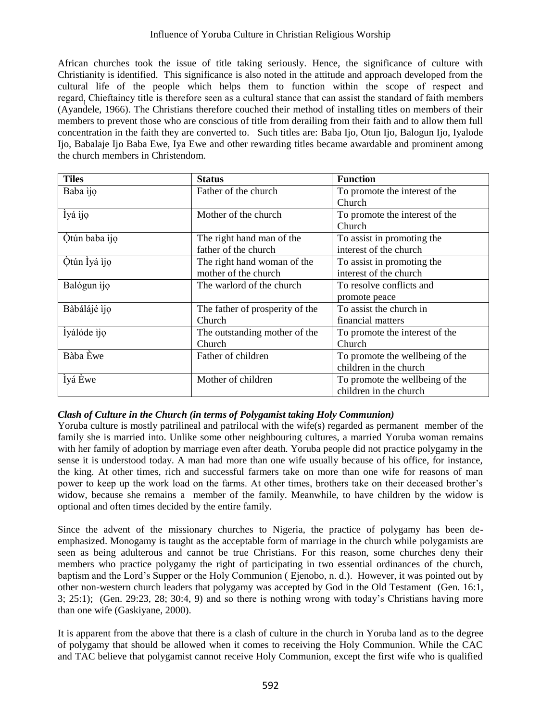African churches took the issue of title taking seriously. Hence, the significance of culture with Christianity is identified. This significance is also noted in the attitude and approach developed from the cultural life of the people which helps them to function within the scope of respect and regard. Chieftaincy title is therefore seen as a cultural stance that can assist the standard of faith members (Ayandele, 1966). The Christians therefore couched their method of installing titles on members of their members to prevent those who are conscious of title from derailing from their faith and to allow them full concentration in the faith they are converted to. Such titles are: Baba Ijo, Otun Ijo, Balogun Ijo, Iyalode Ijo, Babalaje Ijo Baba Ewe, Iya Ewe and other rewarding titles became awardable and prominent among the church members in Christendom.

| <b>Tiles</b>  | <b>Status</b>                   | <b>Function</b>                 |
|---------------|---------------------------------|---------------------------------|
| Baba ijo      | Father of the church            | To promote the interest of the  |
|               |                                 | <b>Church</b>                   |
| Ìyá ìjọ       | Mother of the church            | To promote the interest of the  |
|               |                                 | Church                          |
| Òtún baba ijo | The right hand man of the       | To assist in promoting the      |
|               | father of the church            | interest of the church          |
| Òtún Ìyá ìjọ  | The right hand woman of the     | To assist in promoting the      |
|               | mother of the church            | interest of the church          |
| Balógun ìjo   | The warlord of the church       | To resolve conflicts and        |
|               |                                 | promote peace                   |
| Bàbálájé ijo  | The father of prosperity of the | To assist the church in         |
|               | Church                          | financial matters               |
| Ìyálóde ìjo   | The outstanding mother of the   | To promote the interest of the  |
|               | Church                          | Church                          |
| Bàba Èwe      | Father of children              | To promote the wellbeing of the |
|               |                                 | children in the church          |
| Ìyá Èwe       | Mother of children              | To promote the wellbeing of the |
|               |                                 | children in the church          |

# *Clash of Culture in the Church (in terms of Polygamist taking Holy Communion)*

Yoruba culture is mostly patrilineal and patrilocal with the wife(s) regarded as permanent member of the family she is married into. Unlike some other neighbouring cultures, a married Yoruba woman remains with her family of adoption by marriage even after death. Yoruba people did not practice polygamy in the sense it is understood today. A man had more than one wife usually because of his office, for instance, the king. At other times, rich and successful farmers take on more than one wife for reasons of man power to keep up the work load on the farms. At other times, brothers take on their deceased brother's widow, because she remains a member of the family. Meanwhile, to have children by the widow is optional and often times decided by the entire family.

Since the advent of the missionary churches to Nigeria, the practice of polygamy has been deemphasized. Monogamy is taught as the acceptable form of marriage in the church while polygamists are seen as being adulterous and cannot be true Christians. For this reason, some churches deny their members who practice polygamy the right of participating in two essential ordinances of the church, baptism and the Lord's Supper or the Holy Communion ( Ejenobo, n. d.). However, it was pointed out by other non-western church leaders that polygamy was accepted by God in the Old Testament (Gen. 16:1, 3; 25:1); (Gen. 29:23, 28; 30:4, 9) and so there is nothing wrong with today's Christians having more than one wife (Gaskiyane, 2000).

It is apparent from the above that there is a clash of culture in the church in Yoruba land as to the degree of polygamy that should be allowed when it comes to receiving the Holy Communion. While the CAC and TAC believe that polygamist cannot receive Holy Communion, except the first wife who is qualified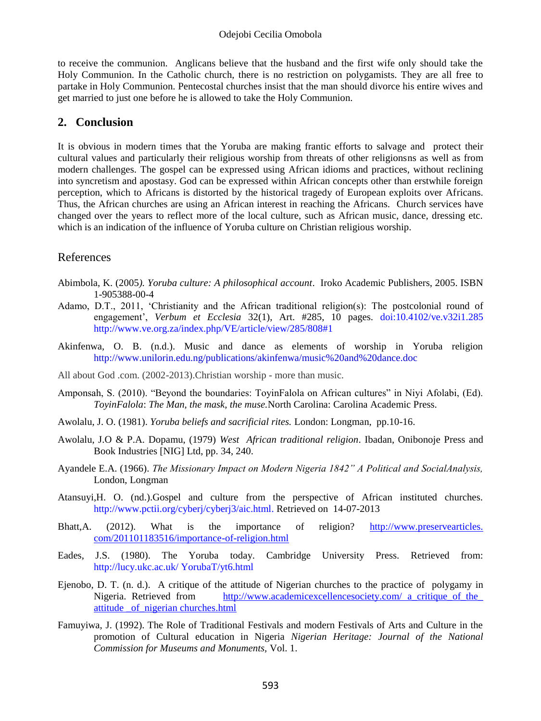to receive the communion. Anglicans believe that the husband and the first wife only should take the Holy Communion. In the Catholic church, there is no restriction on polygamists. They are all free to partake in Holy Communion. Pentecostal churches insist that the man should divorce his entire wives and get married to just one before he is allowed to take the Holy Communion.

# **2. Conclusion**

It is obvious in modern times that the Yoruba are making frantic efforts to salvage and protect their cultural values and particularly their religious worship from threats of other religionsns as well as from modern challenges. The gospel can be expressed using African idioms and practices, without reclining into syncretism and apostasy. God can be expressed within African concepts other than erstwhile foreign perception, which to Africans is distorted by the historical tragedy of European exploits over Africans. Thus, the African churches are using an African interest in reaching the Africans. Church services have changed over the years to reflect more of the local culture, such as African music, dance, dressing etc. which is an indication of the influence of Yoruba culture on Christian religious worship.

# References

- Abimbola, K. (2005*). Yoruba culture: A philosophical account*. Iroko Academic Publishers, 2005. ISBN 1-905388-00-4
- Adamo, D.T., 2011, 'Christianity and the African traditional religion(s): The postcolonial round of engagement', *Verbum et Ecclesia* 32(1), Art. #285, 10 pages. [doi:10.4102/ve.v32i1.285](http://dx.doi.org/10.4102/ve.v32i1.285)  <http://www.ve.org.za/index.php/VE/article/view/285/808#1>
- Akinfenwa, O. B. (n.d.). Music and dance as elements of worship in Yoruba religion <http://www.unilorin.edu.ng/publications/akinfenwa/music%20and%20dance.doc>
- All about God .com. (2002-2013).Christian worship more than music.
- Amponsah, S. (2010). "Beyond the boundaries: ToyinFalola on African cultures" in Niyi Afolabi, (Ed). *ToyinFalola*: *The Man, the mask, the muse.*North Carolina: Carolina Academic Press.
- Awolalu, J. O. (1981). *Yoruba beliefs and sacrificial rites.* London: Longman, pp.10-16.
- Awolalu, J.O & P.A. Dopamu, (1979) *West African traditional religion*. Ibadan, Onibonoje Press and Book Industries [NIG] Ltd, pp. 34, 240.
- Ayandele E.A. (1966). *The Missionary Impact on Modern Nigeria 1842" A Political and SocialAnalysis,*  London, Longman
- Atansuyi,H. O. (nd.).Gospel and culture from the perspective of African instituted churches. [http://www.pctii.org/cyberj/cyberj3/aic.html.](http://www.pctii.org/cyberj/cyberj3/aic.html) Retrieved on 14-07-2013
- Bhatt, A. (2012). What is the importance of religion? http://www.preservearticles. com/201101183516/importance-of-religion.html
- Eades, J.S. (1980). The Yoruba today. Cambridge University Press. Retrieved from: [http://lucy.ukc.ac.uk/ YorubaT/yt6.html](http://lucy.ukc.ac.uk/%20YorubaT/yt6.html)
- Ejenobo, D. T. (n. d.). A critique of the attitude of Nigerian churches to the practice of polygamy in Nigeria. Retrieved from http://www.academicexcellencesociety.com/ a\_critique\_of\_the\_ [attitude \\_of\\_nigerian churches.html](http://www.academicexcellencesociety.com/%20a_critique_of_the_%20attitude%20_of_nigerian%20churches.html)
- Famuyiwa, J. (1992). The Role of Traditional Festivals and modern Festivals of Arts and Culture in the promotion of Cultural education in Nigeria *Nigerian Heritage: Journal of the National Commission for Museums and Monuments,* Vol. 1.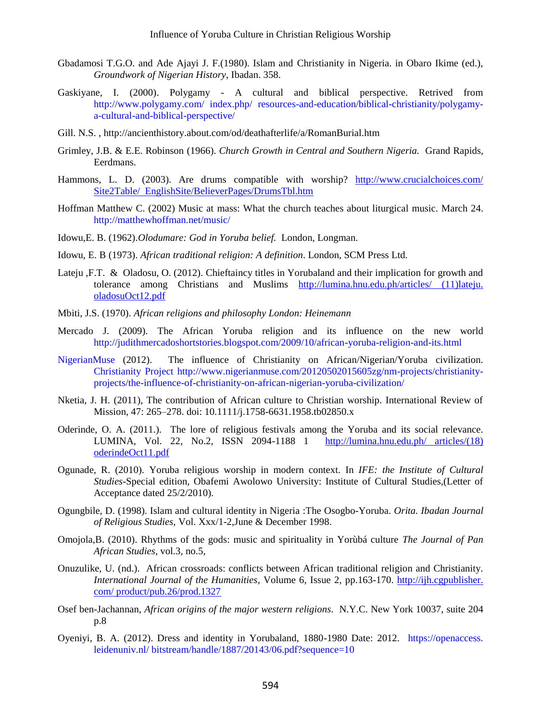- Gbadamosi T.G.O. and Ade Ajayi J. F.(1980). Islam and Christianity in Nigeria. in Obaro Ikime (ed.), *Groundwork of Nigerian History*, Ibadan. 358.
- Gaskiyane, I. (2000). Polygamy A cultural and biblical perspective. Retrived from [http://www.polygamy.com/ index.php/ resources-and-education/biblical-christianity/polygamy](http://www.polygamy.com/%20index.php/%20resources-and-education/biblical-christianity/polygamy-a-cultural-and-biblical-perspective/)[a-cultural-and-biblical-perspective/](http://www.polygamy.com/%20index.php/%20resources-and-education/biblical-christianity/polygamy-a-cultural-and-biblical-perspective/)
- Gill. [N.S. ,](http://ancienthistory.about.com/bio/N-S-Gill-575.htm)<http://ancienthistory.about.com/od/deathafterlife/a/RomanBurial.htm>
- Grimley, J.B. & E.E. Robinson (1966). *Church Growth in Central and Southern Nigeria.* Grand Rapids, Eerdmans.
- Hammons, L. D. (2003). Are drums compatible with worship? [http://www.crucialchoices.com/](http://www.crucialchoices.com/%20Site2Table/%20%20EnglishSite/BelieverPages/DrumsTbl.htm)  [Site2Table/ EnglishSite/BelieverPages/DrumsTbl.htm](http://www.crucialchoices.com/%20Site2Table/%20%20EnglishSite/BelieverPages/DrumsTbl.htm)
- Hoffman Matthew C. (2002) Music at mass: What the church teaches about liturgical music. March 24. <http://matthewhoffman.net/music/>
- Idowu,E. B. (1962).*Olodumare: God in Yoruba belief.* London, Longman.
- Idowu, E. B (1973). *African traditional religion: A definition*. London, SCM Press Ltd.
- Lateju ,F.T. & Oladosu, O. (2012). Chieftaincy titles in Yorubaland and their implication for growth and tolerance among Christians and Muslims [http://lumina.hnu.edu.ph/articles/ \(11\)lateju.](http://lumina.hnu.edu.ph/articles/%20(11)lateju.%20oladosuOct12.pdf)  [oladosuOct12.pdf](http://lumina.hnu.edu.ph/articles/%20(11)lateju.%20oladosuOct12.pdf)
- Mbiti, J.S. (1970). *African religions and philosophy London: Heinemann*
- Mercado J. (2009). The African Yoruba religion and its influence on the new world <http://judithmercadoshortstories.blogspot.com/2009/10/african-yoruba-religion-and-its.html>
- [NigerianMuse](http://www.nigerianmuse.com/author/nigerianmuse/) (2012). The influence of Christianity on African/Nigerian/Yoruba civilization. [Christianity Project](http://www.nigerianmuse.com/nm-projects/christianity-projects/) [http://www.nigerianmuse.com/20120502015605zg/nm-projects/christianity](http://www.nigerianmuse.com/20120502015605zg/nm-projects/christianity-projects/the-influence-of-christianity-on-african-nigerian-yoruba-civilization/)[projects/the-influence-of-christianity-on-african-nigerian-yoruba-civilization/](http://www.nigerianmuse.com/20120502015605zg/nm-projects/christianity-projects/the-influence-of-christianity-on-african-nigerian-yoruba-civilization/)
- Nketia, J. H. (2011), The contribution of African culture to Christian worship. International Review of Mission, 47: 265–278. doi: 10.1111/j.1758-6631.1958.tb02850.x
- Oderinde, O. A. (2011.). The lore of religious festivals among the Yoruba and its social relevance. LUMINA, Vol. 22, No.2, ISSN 2094-1188 1 [http://lumina.hnu.edu.ph/ articles/\(18\)](http://lumina.hnu.edu.ph/%20articles/(18)%20oderindeOct11.pdf)  [oderindeOct11.pdf](http://lumina.hnu.edu.ph/%20articles/(18)%20oderindeOct11.pdf)
- Ogunade, R. (2010). Yoruba religious worship in modern context. In *IFE: the Institute of Cultural Studies*-Special edition, Obafemi Awolowo University: Institute of Cultural Studies,(Letter of Acceptance dated 25/2/2010).
- Ogungbile, D. (1998). Islam and cultural identity in Nigeria :The Osogbo-Yoruba. *Orita. Ibadan Journal of Religious Studies,* Vol. Xxx/1-2,June & December 1998.
- Omojola,B. (2010). Rhythms of the gods: music and spirituality in Yorùbá culture *The Journal of Pan African Studies*, vol.3, no.5,
- Onuzulike, U. (nd.). African crossroads: conflicts between African traditional religion and Christianity. *International Journal of the Humanities*, [Volume 6,](http://ijh.cgpublisher.com/product/pub.26/prod.1285) [Issue 2,](http://ijh.cgpublisher.com/product/pub.26/prod.1322) pp.163-170. http://ijh.cgpublisher. com/ product/pub.26/prod.1327
- Osef ben-Jachannan, *African origins of the major western religions*. N.Y.C. New York 10037, suite 204 p.8
- Oyeniyi, B. A. (2012). Dress and identity in Yorubaland, 1880-1980 Date: 2012. https://openaccess. leidenuniv.nl/ bitstream/handle/1887/20143/06.pdf?sequence=10